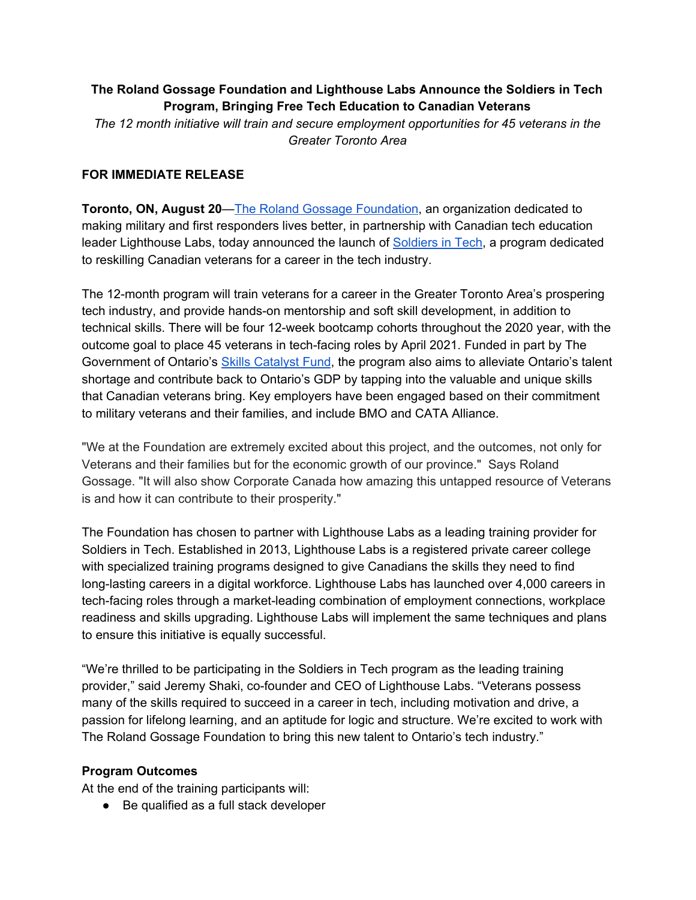# **The Roland Gossage Foundation and Lighthouse Labs Announce the Soldiers in Tech Program, Bringing Free Tech Education to Canadian Veterans**

*The 12 month initiative will train and secure employment opportunities for 45 veterans in the Greater Toronto Area*

### **FOR IMMEDIATE RELEASE**

**Toronto, ON, August 20**—The Roland Gossage [Foundation](https://www.rolandgossagefoundation.com/), an organization dedicated to making military and first responders lives better, in partnership with Canadian tech education leader Lighthouse Labs, today announced the launch of [Soldiers](https://www.rolandgossagefoundation.com/education-development-1) in Tech, a program dedicated to reskilling Canadian veterans for a career in the tech industry.

The 12-month program will train veterans for a career in the Greater Toronto Area's prospering tech industry, and provide hands-on mentorship and soft skill development, in addition to technical skills. There will be four 12-week bootcamp cohorts throughout the 2020 year, with the outcome goal to place 45 veterans in tech-facing roles by April 2021. Funded in part by The Government of Ontario's Skills [Catalyst](http://www.tcu.gov.on.ca/eng/eopg/programs/skills-catalyst-fund.html) Fund, the program also aims to alleviate Ontario's talent shortage and contribute back to Ontario's GDP by tapping into the valuable and unique skills that Canadian veterans bring. Key employers have been engaged based on their commitment to military veterans and their families, and include BMO and CATA Alliance.

"We at the Foundation are extremely excited about this project, and the outcomes, not only for Veterans and their families but for the economic growth of our province." Says Roland Gossage. "It will also show Corporate Canada how amazing this untapped resource of Veterans is and how it can contribute to their prosperity."

The Foundation has chosen to partner with Lighthouse Labs as a leading training provider for Soldiers in Tech. Established in 2013, Lighthouse Labs is a registered private career college with specialized training programs designed to give Canadians the skills they need to find long-lasting careers in a digital workforce. Lighthouse Labs has launched over 4,000 careers in tech-facing roles through a market-leading combination of employment connections, workplace readiness and skills upgrading. Lighthouse Labs will implement the same techniques and plans to ensure this initiative is equally successful.

"We're thrilled to be participating in the Soldiers in Tech program as the leading training provider," said Jeremy Shaki, co-founder and CEO of Lighthouse Labs. "Veterans possess many of the skills required to succeed in a career in tech, including motivation and drive, a passion for lifelong learning, and an aptitude for logic and structure. We're excited to work with The Roland Gossage Foundation to bring this new talent to Ontario's tech industry."

### **Program Outcomes**

At the end of the training participants will:

● Be qualified as a full stack developer